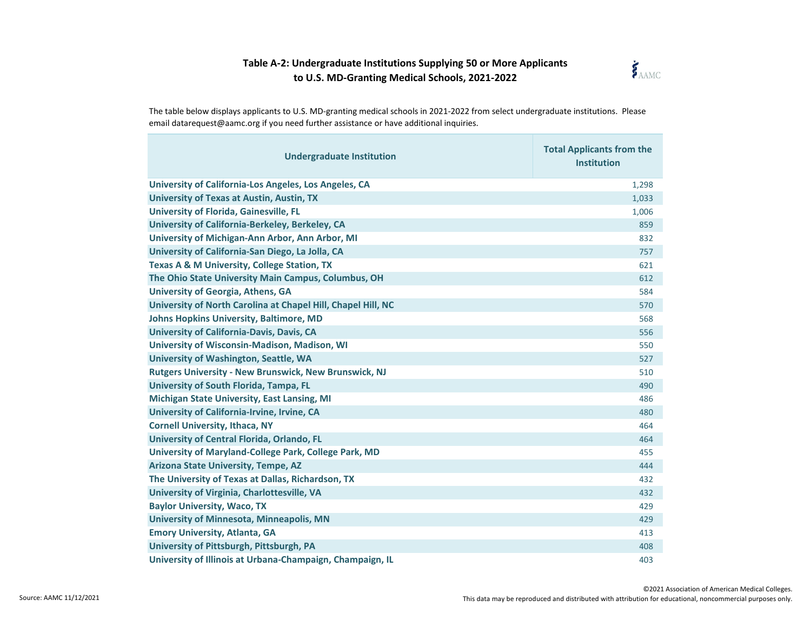

The table below displays applicants to U.S. MD-granting medical schools in 2021-2022 from select undergraduate institutions. Please email datarequest@aamc.org if you need further assistance or have additional inquiries.

| <b>Undergraduate Institution</b>                             | <b>Total Applicants from the</b><br><b>Institution</b> |
|--------------------------------------------------------------|--------------------------------------------------------|
| University of California-Los Angeles, Los Angeles, CA        | 1,298                                                  |
| <b>University of Texas at Austin, Austin, TX</b>             | 1,033                                                  |
| <b>University of Florida, Gainesville, FL</b>                | 1,006                                                  |
| University of California-Berkeley, Berkeley, CA              | 859                                                    |
| University of Michigan-Ann Arbor, Ann Arbor, MI              | 832                                                    |
| University of California-San Diego, La Jolla, CA             | 757                                                    |
| Texas A & M University, College Station, TX                  | 621                                                    |
| The Ohio State University Main Campus, Columbus, OH          | 612                                                    |
| <b>University of Georgia, Athens, GA</b>                     | 584                                                    |
| University of North Carolina at Chapel Hill, Chapel Hill, NC | 570                                                    |
| <b>Johns Hopkins University, Baltimore, MD</b>               | 568                                                    |
| University of California-Davis, Davis, CA                    | 556                                                    |
| University of Wisconsin-Madison, Madison, WI                 | 550                                                    |
| University of Washington, Seattle, WA                        | 527                                                    |
| <b>Rutgers University - New Brunswick, New Brunswick, NJ</b> | 510                                                    |
| University of South Florida, Tampa, FL                       | 490                                                    |
| <b>Michigan State University, East Lansing, MI</b>           | 486                                                    |
| University of California-Irvine, Irvine, CA                  | 480                                                    |
| <b>Cornell University, Ithaca, NY</b>                        | 464                                                    |
| University of Central Florida, Orlando, FL                   | 464                                                    |
| University of Maryland-College Park, College Park, MD        | 455                                                    |
| Arizona State University, Tempe, AZ                          | 444                                                    |
| The University of Texas at Dallas, Richardson, TX            | 432                                                    |
| University of Virginia, Charlottesville, VA                  | 432                                                    |
| <b>Baylor University, Waco, TX</b>                           | 429                                                    |
| <b>University of Minnesota, Minneapolis, MN</b>              | 429                                                    |
| <b>Emory University, Atlanta, GA</b>                         | 413                                                    |
| University of Pittsburgh, Pittsburgh, PA                     | 408                                                    |
| University of Illinois at Urbana-Champaign, Champaign, IL    | 403                                                    |

۰

Source: AAMC 11/12/2021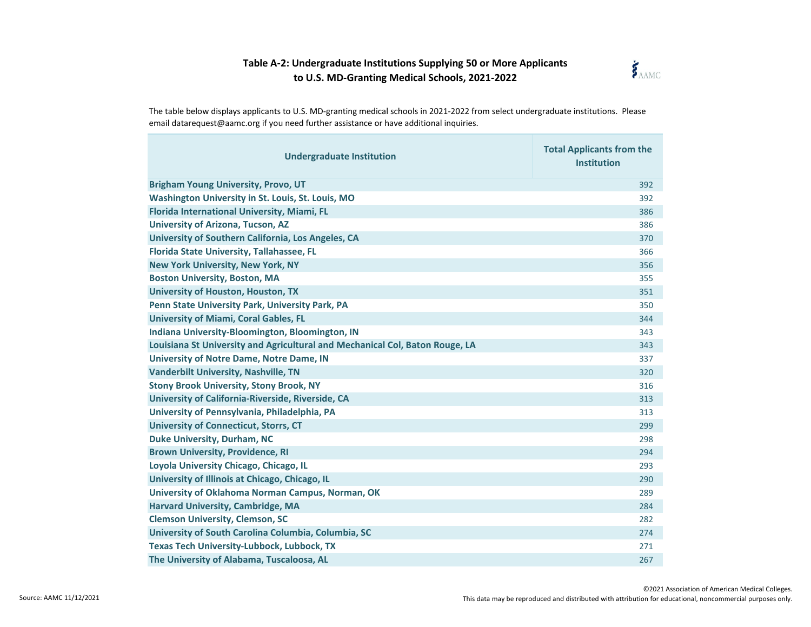

| <b>Undergraduate Institution</b>                                             | <b>Total Applicants from the</b><br><b>Institution</b> |
|------------------------------------------------------------------------------|--------------------------------------------------------|
| <b>Brigham Young University, Provo, UT</b>                                   | 392                                                    |
| Washington University in St. Louis, St. Louis, MO                            | 392                                                    |
| Florida International University, Miami, FL                                  | 386                                                    |
| <b>University of Arizona, Tucson, AZ</b>                                     | 386                                                    |
| University of Southern California, Los Angeles, CA                           | 370                                                    |
| <b>Florida State University, Tallahassee, FL</b>                             | 366                                                    |
| <b>New York University, New York, NY</b>                                     | 356                                                    |
| <b>Boston University, Boston, MA</b>                                         | 355                                                    |
| <b>University of Houston, Houston, TX</b>                                    | 351                                                    |
| Penn State University Park, University Park, PA                              | 350                                                    |
| <b>University of Miami, Coral Gables, FL</b>                                 | 344                                                    |
| Indiana University-Bloomington, Bloomington, IN                              | 343                                                    |
| Louisiana St University and Agricultural and Mechanical Col, Baton Rouge, LA | 343                                                    |
| <b>University of Notre Dame, Notre Dame, IN</b>                              | 337                                                    |
| <b>Vanderbilt University, Nashville, TN</b>                                  | 320                                                    |
| <b>Stony Brook University, Stony Brook, NY</b>                               | 316                                                    |
| University of California-Riverside, Riverside, CA                            | 313                                                    |
| University of Pennsylvania, Philadelphia, PA                                 | 313                                                    |
| <b>University of Connecticut, Storrs, CT</b>                                 | 299                                                    |
| <b>Duke University, Durham, NC</b>                                           | 298                                                    |
| <b>Brown University, Providence, RI</b>                                      | 294                                                    |
| Loyola University Chicago, Chicago, IL                                       | 293                                                    |
| University of Illinois at Chicago, Chicago, IL                               | 290                                                    |
| University of Oklahoma Norman Campus, Norman, OK                             | 289                                                    |
| <b>Harvard University, Cambridge, MA</b>                                     | 284                                                    |
| <b>Clemson University, Clemson, SC</b>                                       | 282                                                    |
| University of South Carolina Columbia, Columbia, SC                          | 274                                                    |
| <b>Texas Tech University-Lubbock, Lubbock, TX</b>                            | 271                                                    |
| The University of Alabama, Tuscaloosa, AL                                    | 267                                                    |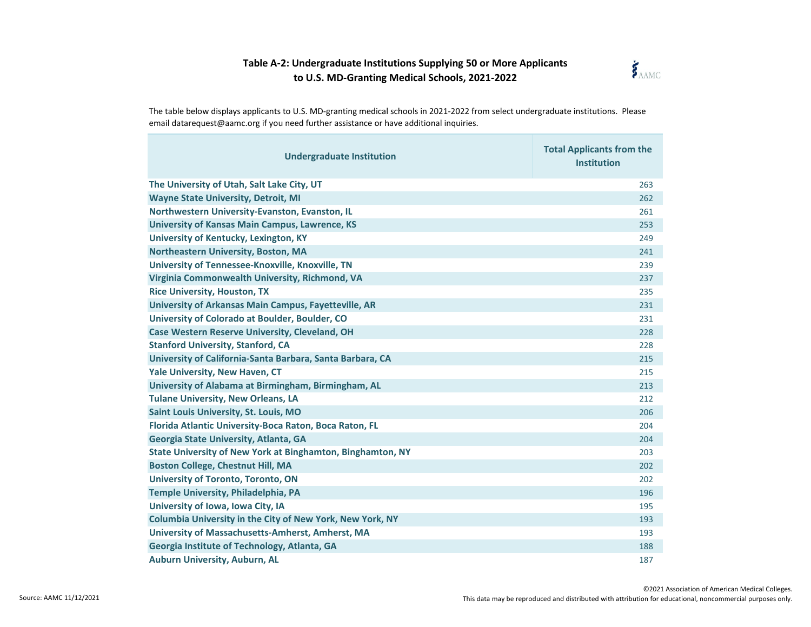

| <b>Undergraduate Institution</b>                                  | <b>Total Applicants from the</b><br><b>Institution</b> |
|-------------------------------------------------------------------|--------------------------------------------------------|
| The University of Utah, Salt Lake City, UT                        | 263                                                    |
| <b>Wayne State University, Detroit, MI</b>                        | 262                                                    |
| Northwestern University-Evanston, Evanston, IL                    | 261                                                    |
| <b>University of Kansas Main Campus, Lawrence, KS</b>             | 253                                                    |
| University of Kentucky, Lexington, KY                             | 249                                                    |
| Northeastern University, Boston, MA                               | 241                                                    |
| University of Tennessee-Knoxville, Knoxville, TN                  | 239                                                    |
| Virginia Commonwealth University, Richmond, VA                    | 237                                                    |
| <b>Rice University, Houston, TX</b>                               | 235                                                    |
| University of Arkansas Main Campus, Fayetteville, AR              | 231                                                    |
| University of Colorado at Boulder, Boulder, CO                    | 231                                                    |
| <b>Case Western Reserve University, Cleveland, OH</b>             | 228                                                    |
| <b>Stanford University, Stanford, CA</b>                          | 228                                                    |
| University of California-Santa Barbara, Santa Barbara, CA         | 215                                                    |
| Yale University, New Haven, CT                                    | 215                                                    |
| University of Alabama at Birmingham, Birmingham, AL               | 213                                                    |
| <b>Tulane University, New Orleans, LA</b>                         | 212                                                    |
| <b>Saint Louis University, St. Louis, MO</b>                      | 206                                                    |
| Florida Atlantic University-Boca Raton, Boca Raton, FL            | 204                                                    |
| Georgia State University, Atlanta, GA                             | 204                                                    |
| <b>State University of New York at Binghamton, Binghamton, NY</b> | 203                                                    |
| <b>Boston College, Chestnut Hill, MA</b>                          | 202                                                    |
| <b>University of Toronto, Toronto, ON</b>                         | 202                                                    |
| Temple University, Philadelphia, PA                               | 196                                                    |
| University of Iowa, Iowa City, IA                                 | 195                                                    |
| Columbia University in the City of New York, New York, NY         | 193                                                    |
| University of Massachusetts-Amherst, Amherst, MA                  | 193                                                    |
| Georgia Institute of Technology, Atlanta, GA                      | 188                                                    |
| <b>Auburn University, Auburn, AL</b>                              | 187                                                    |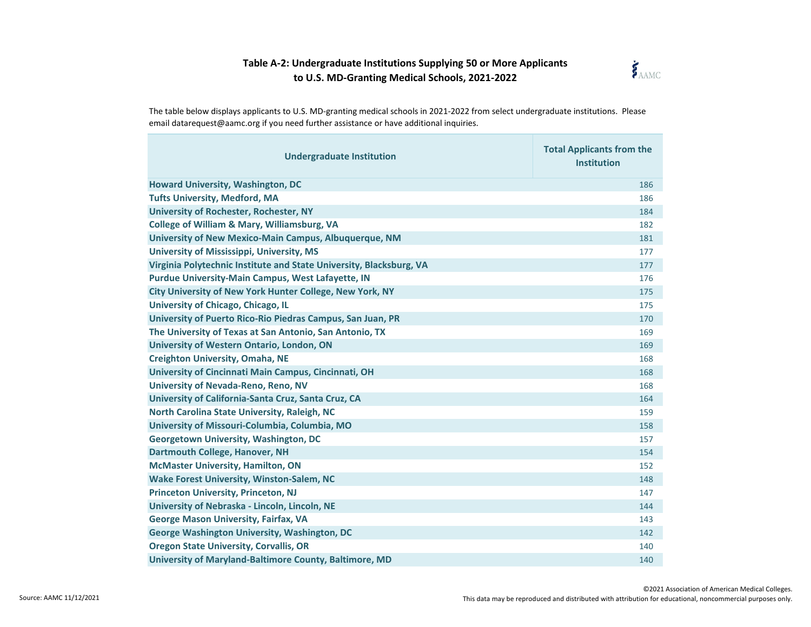

| <b>Undergraduate Institution</b>                                    | <b>Total Applicants from the</b><br><b>Institution</b> |
|---------------------------------------------------------------------|--------------------------------------------------------|
| <b>Howard University, Washington, DC</b>                            | 186                                                    |
| <b>Tufts University, Medford, MA</b>                                | 186                                                    |
| <b>University of Rochester, Rochester, NY</b>                       | 184                                                    |
| <b>College of William &amp; Mary, Williamsburg, VA</b>              | 182                                                    |
| University of New Mexico-Main Campus, Albuquerque, NM               | 181                                                    |
| <b>University of Mississippi, University, MS</b>                    | 177                                                    |
| Virginia Polytechnic Institute and State University, Blacksburg, VA | 177                                                    |
| <b>Purdue University-Main Campus, West Lafayette, IN</b>            | 176                                                    |
| City University of New York Hunter College, New York, NY            | 175                                                    |
| University of Chicago, Chicago, IL                                  | 175                                                    |
| University of Puerto Rico-Rio Piedras Campus, San Juan, PR          | 170                                                    |
| The University of Texas at San Antonio, San Antonio, TX             | 169                                                    |
| University of Western Ontario, London, ON                           | 169                                                    |
| <b>Creighton University, Omaha, NE</b>                              | 168                                                    |
| University of Cincinnati Main Campus, Cincinnati, OH                | 168                                                    |
| University of Nevada-Reno, Reno, NV                                 | 168                                                    |
| University of California-Santa Cruz, Santa Cruz, CA                 | 164                                                    |
| North Carolina State University, Raleigh, NC                        | 159                                                    |
| University of Missouri-Columbia, Columbia, MO                       | 158                                                    |
| <b>Georgetown University, Washington, DC</b>                        | 157                                                    |
| Dartmouth College, Hanover, NH                                      | 154                                                    |
| <b>McMaster University, Hamilton, ON</b>                            | 152                                                    |
| <b>Wake Forest University, Winston-Salem, NC</b>                    | 148                                                    |
| <b>Princeton University, Princeton, NJ</b>                          | 147                                                    |
| University of Nebraska - Lincoln, Lincoln, NE                       | 144                                                    |
| <b>George Mason University, Fairfax, VA</b>                         | 143                                                    |
| George Washington University, Washington, DC                        | 142                                                    |
| <b>Oregon State University, Corvallis, OR</b>                       | 140                                                    |
| University of Maryland-Baltimore County, Baltimore, MD              | 140                                                    |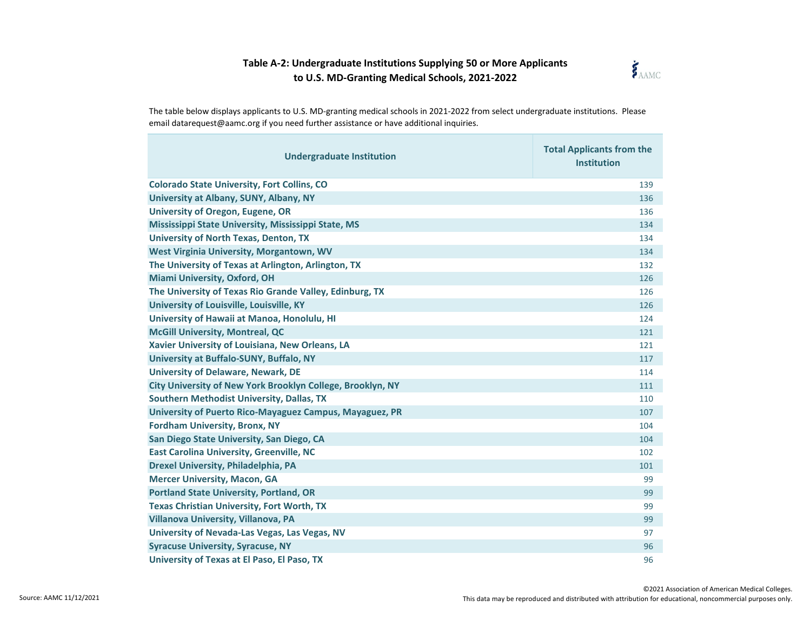

| <b>Undergraduate Institution</b>                           | <b>Total Applicants from the</b><br><b>Institution</b> |
|------------------------------------------------------------|--------------------------------------------------------|
| <b>Colorado State University, Fort Collins, CO</b>         | 139                                                    |
| University at Albany, SUNY, Albany, NY                     | 136                                                    |
| <b>University of Oregon, Eugene, OR</b>                    | 136                                                    |
| Mississippi State University, Mississippi State, MS        | 134                                                    |
| <b>University of North Texas, Denton, TX</b>               | 134                                                    |
| West Virginia University, Morgantown, WV                   | 134                                                    |
| The University of Texas at Arlington, Arlington, TX        | 132                                                    |
| <b>Miami University, Oxford, OH</b>                        | 126                                                    |
| The University of Texas Rio Grande Valley, Edinburg, TX    | 126                                                    |
| University of Louisville, Louisville, KY                   | 126                                                    |
| University of Hawaii at Manoa, Honolulu, HI                | 124                                                    |
| <b>McGill University, Montreal, QC</b>                     | 121                                                    |
| Xavier University of Louisiana, New Orleans, LA            | 121                                                    |
| University at Buffalo-SUNY, Buffalo, NY                    | 117                                                    |
| <b>University of Delaware, Newark, DE</b>                  | 114                                                    |
| City University of New York Brooklyn College, Brooklyn, NY | 111                                                    |
| <b>Southern Methodist University, Dallas, TX</b>           | 110                                                    |
| University of Puerto Rico-Mayaguez Campus, Mayaguez, PR    | 107                                                    |
| <b>Fordham University, Bronx, NY</b>                       | 104                                                    |
| San Diego State University, San Diego, CA                  | 104                                                    |
| <b>East Carolina University, Greenville, NC</b>            | 102                                                    |
| Drexel University, Philadelphia, PA                        | 101                                                    |
| <b>Mercer University, Macon, GA</b>                        | 99                                                     |
| <b>Portland State University, Portland, OR</b>             | 99                                                     |
| <b>Texas Christian University, Fort Worth, TX</b>          | 99                                                     |
| Villanova University, Villanova, PA                        | 99                                                     |
| University of Nevada-Las Vegas, Las Vegas, NV              | 97                                                     |
| <b>Syracuse University, Syracuse, NY</b>                   | 96                                                     |
| University of Texas at El Paso, El Paso, TX                | 96                                                     |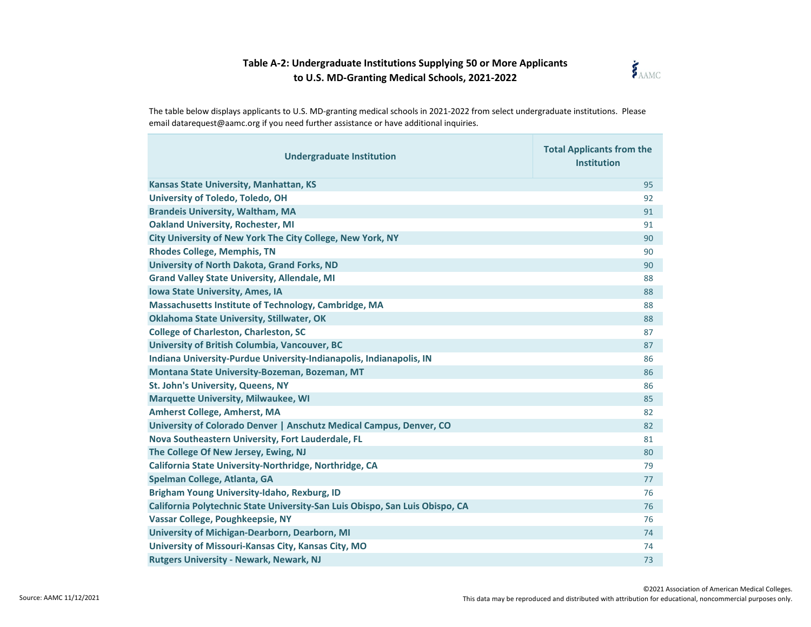

| <b>Undergraduate Institution</b>                                             | <b>Total Applicants from the</b><br><b>Institution</b> |
|------------------------------------------------------------------------------|--------------------------------------------------------|
| Kansas State University, Manhattan, KS                                       | 95                                                     |
| University of Toledo, Toledo, OH                                             | 92                                                     |
| <b>Brandeis University, Waltham, MA</b>                                      | 91                                                     |
| <b>Oakland University, Rochester, MI</b>                                     | 91                                                     |
| City University of New York The City College, New York, NY                   | 90                                                     |
| <b>Rhodes College, Memphis, TN</b>                                           | 90                                                     |
| University of North Dakota, Grand Forks, ND                                  | 90                                                     |
| <b>Grand Valley State University, Allendale, MI</b>                          | 88                                                     |
| Iowa State University, Ames, IA                                              | 88                                                     |
| Massachusetts Institute of Technology, Cambridge, MA                         | 88                                                     |
| <b>Oklahoma State University, Stillwater, OK</b>                             | 88                                                     |
| <b>College of Charleston, Charleston, SC</b>                                 | 87                                                     |
| University of British Columbia, Vancouver, BC                                | 87                                                     |
| Indiana University-Purdue University-Indianapolis, Indianapolis, IN          | 86                                                     |
| Montana State University-Bozeman, Bozeman, MT                                | 86                                                     |
| St. John's University, Queens, NY                                            | 86                                                     |
| <b>Marquette University, Milwaukee, WI</b>                                   | 85                                                     |
| Amherst College, Amherst, MA                                                 | 82                                                     |
| University of Colorado Denver   Anschutz Medical Campus, Denver, CO          | 82                                                     |
| Nova Southeastern University, Fort Lauderdale, FL                            | 81                                                     |
| The College Of New Jersey, Ewing, NJ                                         | 80                                                     |
| California State University-Northridge, Northridge, CA                       | 79                                                     |
| Spelman College, Atlanta, GA                                                 | 77                                                     |
| Brigham Young University-Idaho, Rexburg, ID                                  | 76                                                     |
| California Polytechnic State University-San Luis Obispo, San Luis Obispo, CA | 76                                                     |
| Vassar College, Poughkeepsie, NY                                             | 76                                                     |
| University of Michigan-Dearborn, Dearborn, MI                                | 74                                                     |
| University of Missouri-Kansas City, Kansas City, MO                          | 74                                                     |
| <b>Rutgers University - Newark, Newark, NJ</b>                               | 73                                                     |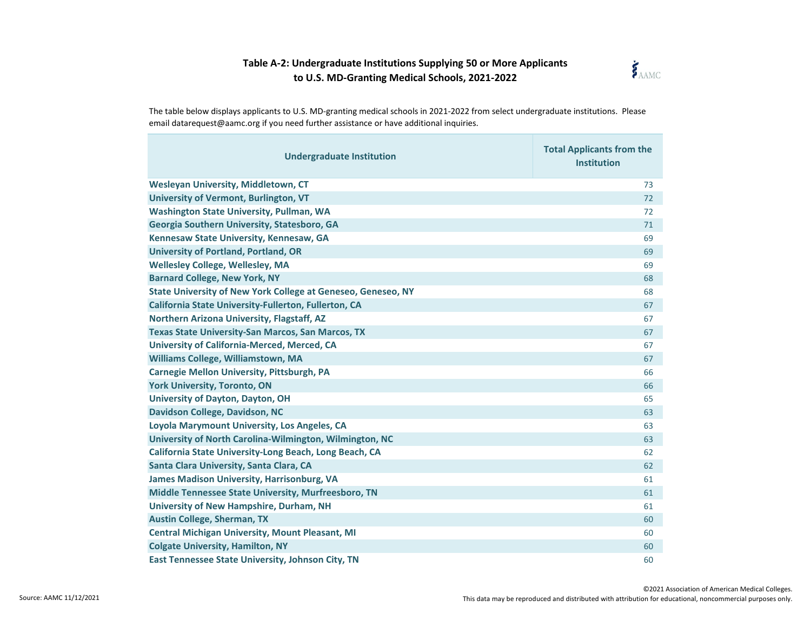

The table below displays applicants to U.S. MD-granting medical schools in 2021-2022 from select undergraduate institutions. Please email datarequest@aamc.org if you need further assistance or have additional inquiries.

| <b>Undergraduate Institution</b>                                    | <b>Total Applicants from the</b><br><b>Institution</b> |
|---------------------------------------------------------------------|--------------------------------------------------------|
| Wesleyan University, Middletown, CT                                 | 73                                                     |
| University of Vermont, Burlington, VT                               | 72                                                     |
| <b>Washington State University, Pullman, WA</b>                     | 72                                                     |
| Georgia Southern University, Statesboro, GA                         | 71                                                     |
| Kennesaw State University, Kennesaw, GA                             | 69                                                     |
| <b>University of Portland, Portland, OR</b>                         | 69                                                     |
| <b>Wellesley College, Wellesley, MA</b>                             | 69                                                     |
| <b>Barnard College, New York, NY</b>                                | 68                                                     |
| <b>State University of New York College at Geneseo, Geneseo, NY</b> | 68                                                     |
| California State University-Fullerton, Fullerton, CA                | 67                                                     |
| Northern Arizona University, Flagstaff, AZ                          | 67                                                     |
| <b>Texas State University-San Marcos, San Marcos, TX</b>            | 67                                                     |
| University of California-Merced, Merced, CA                         | 67                                                     |
| Williams College, Williamstown, MA                                  | 67                                                     |
| Carnegie Mellon University, Pittsburgh, PA                          | 66                                                     |
| <b>York University, Toronto, ON</b>                                 | 66                                                     |
| University of Dayton, Dayton, OH                                    | 65                                                     |
| Davidson College, Davidson, NC                                      | 63                                                     |
| Loyola Marymount University, Los Angeles, CA                        | 63                                                     |
| University of North Carolina-Wilmington, Wilmington, NC             | 63                                                     |
| California State University-Long Beach, Long Beach, CA              | 62                                                     |
| Santa Clara University, Santa Clara, CA                             | 62                                                     |
| <b>James Madison University, Harrisonburg, VA</b>                   | 61                                                     |
| Middle Tennessee State University, Murfreesboro, TN                 | 61                                                     |
| University of New Hampshire, Durham, NH                             | 61                                                     |
| <b>Austin College, Sherman, TX</b>                                  | 60                                                     |
| <b>Central Michigan University, Mount Pleasant, MI</b>              | 60                                                     |
| <b>Colgate University, Hamilton, NY</b>                             | 60                                                     |
| East Tennessee State University, Johnson City, TN                   | 60                                                     |

۰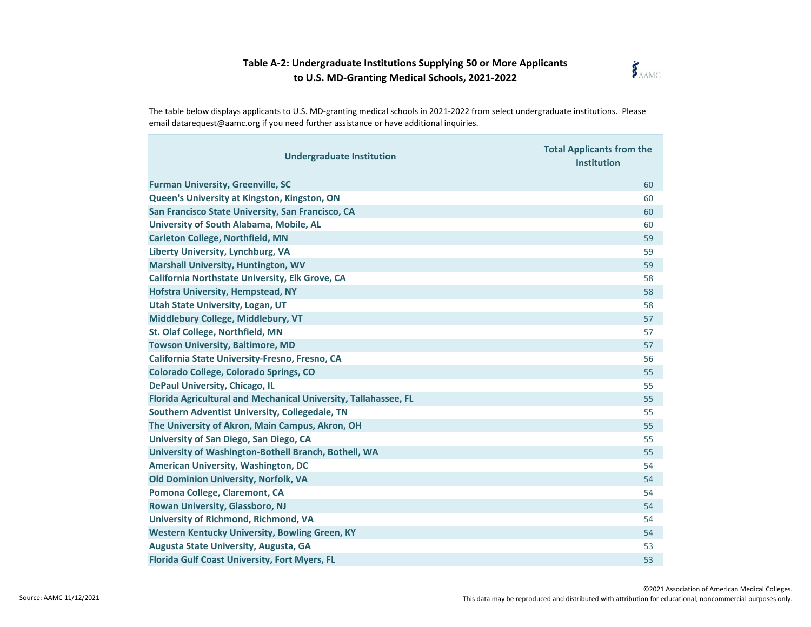

| <b>Undergraduate Institution</b>                                | <b>Total Applicants from the</b><br><b>Institution</b> |
|-----------------------------------------------------------------|--------------------------------------------------------|
| <b>Furman University, Greenville, SC</b>                        | 60                                                     |
| Queen's University at Kingston, Kingston, ON                    | 60                                                     |
| San Francisco State University, San Francisco, CA               | 60                                                     |
| University of South Alabama, Mobile, AL                         | 60                                                     |
| <b>Carleton College, Northfield, MN</b>                         | 59                                                     |
| Liberty University, Lynchburg, VA                               | 59                                                     |
| <b>Marshall University, Huntington, WV</b>                      | 59                                                     |
| California Northstate University, Elk Grove, CA                 | 58                                                     |
| <b>Hofstra University, Hempstead, NY</b>                        | 58                                                     |
| <b>Utah State University, Logan, UT</b>                         | 58                                                     |
| Middlebury College, Middlebury, VT                              | 57                                                     |
| St. Olaf College, Northfield, MN                                | 57                                                     |
| <b>Towson University, Baltimore, MD</b>                         | 57                                                     |
| California State University-Fresno, Fresno, CA                  | 56                                                     |
| Colorado College, Colorado Springs, CO                          | 55                                                     |
| <b>DePaul University, Chicago, IL</b>                           | 55                                                     |
| Florida Agricultural and Mechanical University, Tallahassee, FL | 55                                                     |
| Southern Adventist University, Collegedale, TN                  | 55                                                     |
| The University of Akron, Main Campus, Akron, OH                 | 55                                                     |
| University of San Diego, San Diego, CA                          | 55                                                     |
| University of Washington-Bothell Branch, Bothell, WA            | 55                                                     |
| <b>American University, Washington, DC</b>                      | 54                                                     |
| Old Dominion University, Norfolk, VA                            | 54                                                     |
| Pomona College, Claremont, CA                                   | 54                                                     |
| Rowan University, Glassboro, NJ                                 | 54                                                     |
| University of Richmond, Richmond, VA                            | 54                                                     |
| <b>Western Kentucky University, Bowling Green, KY</b>           | 54                                                     |
| Augusta State University, Augusta, GA                           | 53                                                     |
| <b>Florida Gulf Coast University, Fort Myers, FL</b>            | 53                                                     |